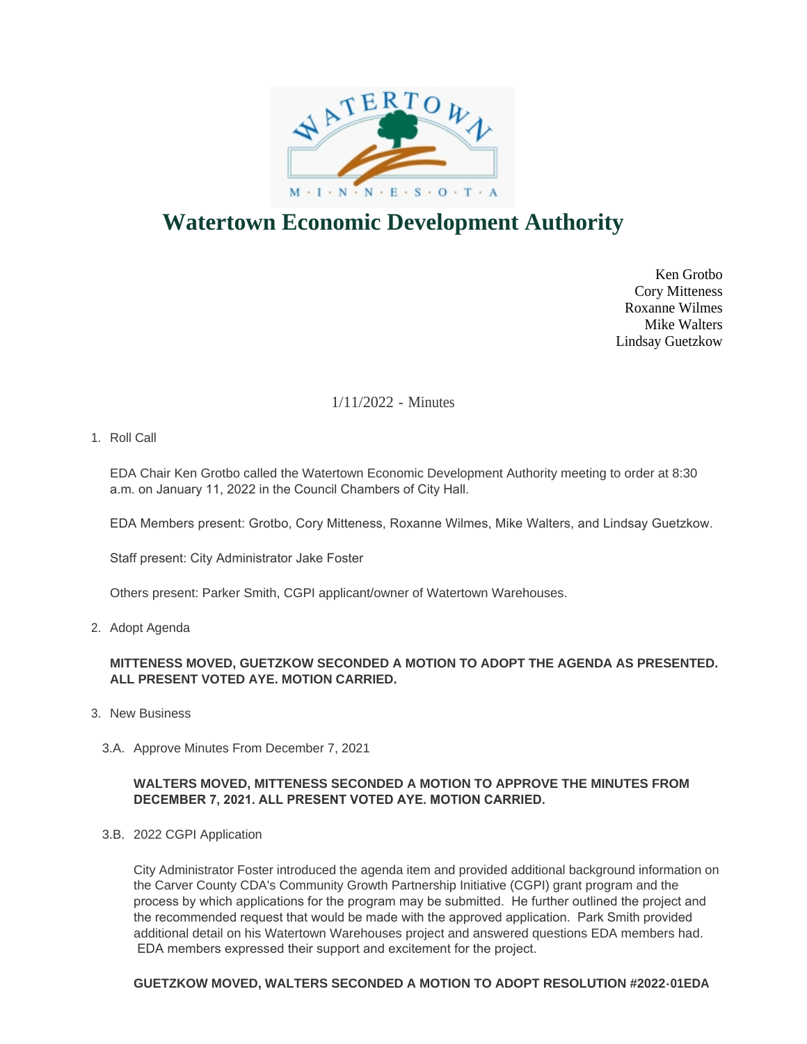

# **Watertown Economic Development Authority**

Ken Grotbo Cory Mitteness Roxanne Wilmes Mike Walters Lindsay Guetzkow

# 1/11/2022 - Minutes

1. Roll Call

EDA Chair Ken Grotbo called the Watertown Economic Development Authority meeting to order at 8:30 a.m. on January 11, 2022 in the Council Chambers of City Hall.

EDA Members present: Grotbo, Cory Mitteness, Roxanne Wilmes, Mike Walters, and Lindsay Guetzkow.

Staff present: City Administrator Jake Foster

Others present: Parker Smith, CGPI applicant/owner of Watertown Warehouses.

2. Adopt Agenda

## **MITTENESS MOVED, GUETZKOW SECONDED A MOTION TO ADOPT THE AGENDA AS PRESENTED. ALL PRESENT VOTED AYE. MOTION CARRIED.**

- 3. New Business
	- 3.A. Approve Minutes From December 7, 2021

#### **WALTERS MOVED, MITTENESS SECONDED A MOTION TO APPROVE THE MINUTES FROM DECEMBER 7, 2021. ALL PRESENT VOTED AYE. MOTION CARRIED.**

3.B. 2022 CGPI Application

City Administrator Foster introduced the agenda item and provided additional background information on the Carver County CDA's Community Growth Partnership Initiative (CGPI) grant program and the process by which applications for the program may be submitted. He further outlined the project and the recommended request that would be made with the approved application. Park Smith provided additional detail on his Watertown Warehouses project and answered questions EDA members had. EDA members expressed their support and excitement for the project.

#### **GUETZKOW MOVED, WALTERS SECONDED A MOTION TO ADOPT RESOLUTION #2022-01EDA**